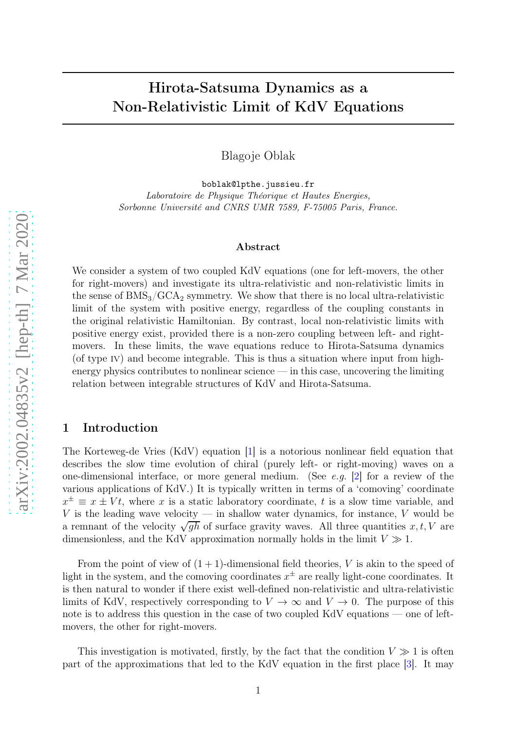# Hirota-Satsuma Dynamics as a Non-Relativistic Limit of KdV Equations

Blagoje Oblak

boblak@lpthe.jussieu.fr Laboratoire de Physique Théorique et Hautes Energies, Sorbonne Université and CNRS UMR 7589, F-75005 Paris, France.

#### Abstract

We consider a system of two coupled KdV equations (one for left-movers, the other for right-movers) and investigate its ultra-relativistic and non-relativistic limits in the sense of  $\rm BMS_3/GCA_2$  symmetry. We show that there is no local ultra-relativistic limit of the system with positive energy, regardless of the coupling constants in the original relativistic Hamiltonian. By contrast, local non-relativistic limits with positive energy exist, provided there is a non-zero coupling between left- and rightmovers. In these limits, the wave equations reduce to Hirota-Satsuma dynamics (of type iv) and become integrable. This is thus a situation where input from highenergy physics contributes to nonlinear science — in this case, uncovering the limiting relation between integrable structures of KdV and Hirota-Satsuma.

#### 1 Introduction

The Korteweg-de Vries (KdV) equation [ [1\]](#page-7-0) is a notorious nonlinear field equation that describes the slow time evolution of chiral (purely left- or right-moving) waves on a one-dimensional interface, or more general medium. (See e.g. [[2\]](#page-7-1) for a review of the various applications of KdV.) It is typically written in terms of a 'comoving' coordinate  $x^{\pm} \equiv x \pm Vt$ , where x is a static laboratory coordinate, t is a slow time variable, and V is the leading wave velocity — in shallow water dynamics, for instance, V would be a remnant of the velocity  $\sqrt{gh}$  of surface gravity waves. All three quantities  $x, t, V$  are dimensionless, and the KdV approximation normally holds in the limit  $V \gg 1$ .

From the point of view of  $(1 + 1)$ -dimensional field theories, V is akin to the speed of light in the system, and the comoving coordinates  $x^{\pm}$  are really light-cone coordinates. It is then natural to wonder if there exist well-defined non-relativistic and ultra-relativistic limits of KdV, respectively corresponding to  $V \to \infty$  and  $V \to 0$ . The purpose of this note is to address this question in the case of two coupled KdV equations — one of leftmovers, the other for right-movers.

This investigation is motivated, firstly, by the fact that the condition  $V \gg 1$  is often part of the approximations that led to the KdV equation in the first place [ [3\]](#page-7-2). It may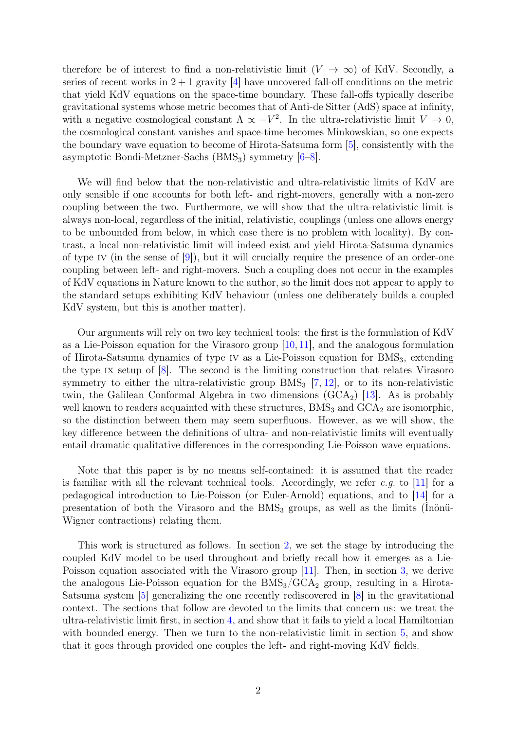therefore be of interest to find a non-relativistic limit  $(V \to \infty)$  of KdV. Secondly, a series of recent works in  $2 + 1$  gravity [\[4\]](#page-7-3) have uncovered fall-off conditions on the metric that yield KdV equations on the space-time boundary. These fall-offs typically describe gravitational systems whose metric becomes that of Anti-de Sitter (AdS) space at infinity, with a negative cosmological constant  $\Lambda \propto -V^2$ . In the ultra-relativistic limit  $V \to 0$ , the cosmological constant vanishes and space-time becomes Minkowskian, so one expects the boundary wave equation to become of Hirota-Satsuma form [\[5\]](#page-7-4), consistently with the asymptotic Bondi-Metzner-Sachs  $(BMS_3)$  symmetry  $[6–8]$  $[6–8]$ .

We will find below that the non-relativistic and ultra-relativistic limits of KdV are only sensible if one accounts for both left- and right-movers, generally with a non-zero coupling between the two. Furthermore, we will show that the ultra-relativistic limit is always non-local, regardless of the initial, relativistic, couplings (unless one allows energy to be unbounded from below, in which case there is no problem with locality). By contrast, a local non-relativistic limit will indeed exist and yield Hirota-Satsuma dynamics of type IV (in the sense of  $(9)$ ), but it will crucially require the presence of an order-one coupling between left- and right-movers. Such a coupling does not occur in the examples of KdV equations in Nature known to the author, so the limit does not appear to apply to the standard setups exhibiting KdV behaviour (unless one deliberately builds a coupled KdV system, but this is another matter).

Our arguments will rely on two key technical tools: the first is the formulation of KdV as a Lie-Poisson equation for the Virasoro group [\[10,](#page-7-8) [11\]](#page-7-9), and the analogous formulation of Hirota-Satsuma dynamics of type IV as a Lie-Poisson equation for  $BMS<sub>3</sub>$ , extending the type ix setup of [\[8\]](#page-7-6). The second is the limiting construction that relates Virasoro symmetry to either the ultra-relativistic group  $BMS<sub>3</sub>$  [\[7,](#page-7-10) [12\]](#page-8-0), or to its non-relativistic twin, the Galilean Conformal Algebra in two dimensions  $(GCA_2)$  [\[13\]](#page-8-1). As is probably well known to readers acquainted with these structures,  $\text{BMS}_3$  and  $\text{GCA}_2$  are isomorphic, so the distinction between them may seem superfluous. However, as we will show, the key difference between the definitions of ultra- and non-relativistic limits will eventually entail dramatic qualitative differences in the corresponding Lie-Poisson wave equations.

Note that this paper is by no means self-contained: it is assumed that the reader is familiar with all the relevant technical tools. Accordingly, we refer e.g. to [\[11\]](#page-7-9) for a pedagogical introduction to Lie-Poisson (or Euler-Arnold) equations, and to [\[14\]](#page-8-2) for a presentation of both the Virasoro and the  $BMS<sub>3</sub>$  groups, as well as the limits (Inönü-Wigner contractions) relating them.

This work is structured as follows. In section [2,](#page-2-0) we set the stage by introducing the coupled KdV model to be used throughout and briefly recall how it emerges as a Lie-Poisson equation associated with the Virasoro group [\[11\]](#page-7-9). Then, in section [3,](#page-3-0) we derive the analogous Lie-Poisson equation for the  $BMS<sub>3</sub>/GCA<sub>2</sub>$  group, resulting in a Hirota-Satsuma system [\[5\]](#page-7-4) generalizing the one recently rediscovered in [\[8\]](#page-7-6) in the gravitational context. The sections that follow are devoted to the limits that concern us: we treat the ultra-relativistic limit first, in section [4,](#page-4-0) and show that it fails to yield a local Hamiltonian with bounded energy. Then we turn to the non-relativistic limit in section [5,](#page-5-0) and show that it goes through provided one couples the left- and right-moving KdV fields.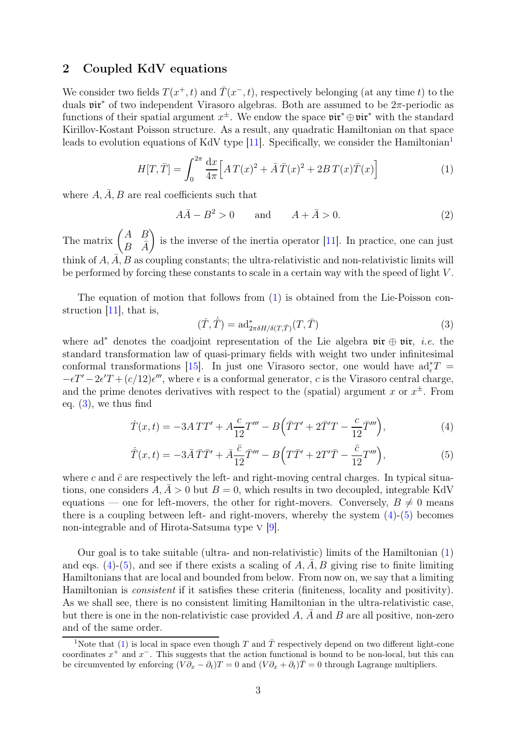### <span id="page-2-0"></span>2 Coupled KdV equations

We consider two fields  $T(x^+, t)$  and  $\overline{T}(x^-, t)$ , respectively belonging (at any time t) to the duals vir<sup>∗</sup> of two independent Virasoro algebras. Both are assumed to be 2π-periodic as functions of their spatial argument  $x^{\pm}$ . We endow the space  $\mathfrak{vir}^* \oplus \mathfrak{vir}^*$  with the standard Kirillov-Kostant Poisson structure. As a result, any quadratic Hamiltonian on that space leads to evolution equations of KdV type  $[11]$  $[11]$  $[11]$ . Specifically, we consider the Hamiltonian<sup>1</sup>

<span id="page-2-2"></span>
$$
H[T, \bar{T}] = \int_0^{2\pi} \frac{dx}{4\pi} \Big[ A T(x)^2 + \bar{A} \,\bar{T}(x)^2 + 2B \, T(x) \bar{T}(x) \Big] \tag{1}
$$

where  $A, \overline{A}, B$  are real coefficients such that

<span id="page-2-6"></span>
$$
A\overline{A} - B^2 > 0 \qquad \text{and} \qquad A + \overline{A} > 0. \tag{2}
$$

The matrix  $\begin{pmatrix} A & B \\ D & \overline{A} \end{pmatrix}$  $B\quad \bar{A}$ is the inverse of the inertia operator  $[11]$ . In practice, one can just think of  $A, \overline{A}, B$  as coupling constants; the ultra-relativistic and non-relativistic limits will be performed by forcing these constants to scale in a certain way with the speed of light V .

The equation of motion that follows from [\(1\)](#page-2-2) is obtained from the Lie-Poisson construction [\[11\]](#page-7-9), that is,

<span id="page-2-5"></span><span id="page-2-4"></span><span id="page-2-3"></span>
$$
(\dot{T}, \dot{\overline{T}}) = \mathrm{ad}^*_{2\pi\delta H/\delta(T, \overline{T})}(T, \overline{T})\tag{3}
$$

where ad<sup>∗</sup> denotes the coadjoint representation of the Lie algebra  $\mathfrak{vir} \oplus \mathfrak{vir}$ , *i.e.* the standard transformation law of quasi-primary fields with weight two under infinitesimal conformal transformations [\[15\]](#page-8-3). In just one Virasoro sector, one would have  $ad_{\epsilon}^*T =$  $-\epsilon T' - 2\epsilon' T + (c/12)\epsilon'''$ , where  $\epsilon$  is a conformal generator, c is the Virasoro central charge, and the prime denotes derivatives with respect to the (spatial) argument x or  $x^{\pm}$ . From eq.  $(3)$ , we thus find

$$
\dot{T}(x,t) = -3ATT' + A\frac{c}{12}T''' - B(\bar{T}T' + 2\bar{T}'T - \frac{c}{12}\bar{T}'''),\tag{4}
$$

$$
\dot{\bar{T}}(x,t) = -3\bar{A}\,\bar{T}\bar{T}' + \bar{A}\frac{\bar{c}}{12}\bar{T}''' - B\Big(T\bar{T}' + 2T'\bar{T} - \frac{\bar{c}}{12}T'''\Big),\tag{5}
$$

where c and  $\bar{c}$  are respectively the left- and right-moving central charges. In typical situations, one considers  $A, \overline{A} > 0$  but  $B = 0$ , which results in two decoupled, integrable KdV equations — one for left-movers, the other for right-movers. Conversely,  $B \neq 0$  means there is a coupling between left- and right-movers, whereby the system  $(4)-(5)$  $(4)-(5)$  becomes non-integrable and of Hirota-Satsuma type v [\[9\]](#page-7-7).

Our goal is to take suitable (ultra- and non-relativistic) limits of the Hamiltonian [\(1\)](#page-2-2) and eqs. [\(4\)](#page-2-4)-[\(5\)](#page-2-5), and see if there exists a scaling of  $A, \overline{A}, B$  giving rise to finite limiting Hamiltonians that are local and bounded from below. From now on, we say that a limiting Hamiltonian is consistent if it satisfies these criteria (finiteness, locality and positivity). As we shall see, there is no consistent limiting Hamiltonian in the ultra-relativistic case, but there is one in the non-relativistic case provided  $A$ ,  $A$  and  $B$  are all positive, non-zero and of the same order.

<span id="page-2-1"></span><sup>&</sup>lt;sup>1</sup>Note that [\(1\)](#page-2-2) is local in space even though T and  $\overline{T}$  respectively depend on two different light-cone coordinates  $x^+$  and  $x^-$ . This suggests that the action functional is bound to be non-local, but this can be circumvented by enforcing  $(V\partial_x - \partial_t)T = 0$  and  $(V\partial_x + \partial_t)\overline{T} = 0$  through Lagrange multipliers.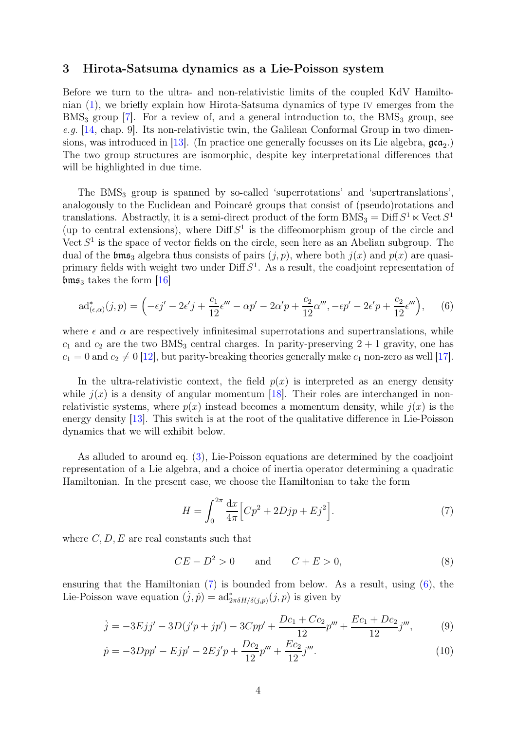#### <span id="page-3-0"></span>3 Hirota-Satsuma dynamics as a Lie-Poisson system

Before we turn to the ultra- and non-relativistic limits of the coupled KdV Hamiltonian [\(1\)](#page-2-2), we briefly explain how Hirota-Satsuma dynamics of type iv emerges from the  $BMS<sub>3</sub>$  group [\[7\]](#page-7-10). For a review of, and a general introduction to, the  $BMS<sub>3</sub>$  group, see e.g. [\[14,](#page-8-2) chap. 9]. Its non-relativistic twin, the Galilean Conformal Group in two dimen-sions, was introduced in [\[13\]](#page-8-1). (In practice one generally focusses on its Lie algebra,  $\mathfrak{gca}_2$ .) The two group structures are isomorphic, despite key interpretational differences that will be highlighted in due time.

The BMS<sup>3</sup> group is spanned by so-called 'superrotations' and 'supertranslations', analogously to the Euclidean and Poincaré groups that consist of (pseudo)rotations and translations. Abstractly, it is a semi-direct product of the form  $\text{BMS}_3 = \text{Diff } S^1 \ltimes \text{Vect } S^1$ (up to central extensions), where  $\text{Diff } S^1$  is the diffeomorphism group of the circle and Vect  $S<sup>1</sup>$  is the space of vector fields on the circle, seen here as an Abelian subgroup. The dual of the  $\mathfrak{bms}_3$  algebra thus consists of pairs  $(j, p)$ , where both  $j(x)$  and  $p(x)$  are quasiprimary fields with weight two under  $\text{Diff } S^1$ . As a result, the coadjoint representation of  $\mathfrak{bms}_3$  takes the form [\[16\]](#page-8-4)

<span id="page-3-2"></span>
$$
\mathrm{ad}^*_{(\epsilon,\alpha)}(j,p) = \left(-\epsilon j' - 2\epsilon' j + \frac{c_1}{12}\epsilon''' - \alpha p' - 2\alpha' p + \frac{c_2}{12}\alpha''', -\epsilon p' - 2\epsilon' p + \frac{c_2}{12}\epsilon'''\right),\tag{6}
$$

where  $\epsilon$  and  $\alpha$  are respectively infinitesimal superrotations and supertranslations, while  $c_1$  and  $c_2$  are the two BMS<sub>3</sub> central charges. In parity-preserving  $2 + 1$  gravity, one has  $c_1 = 0$  and  $c_2 \neq 0$  [\[12\]](#page-8-0), but parity-breaking theories generally make  $c_1$  non-zero as well [\[17\]](#page-8-5).

In the ultra-relativistic context, the field  $p(x)$  is interpreted as an energy density while  $j(x)$  is a density of angular momentum [\[18\]](#page-8-6). Their roles are interchanged in nonrelativistic systems, where  $p(x)$  instead becomes a momentum density, while  $j(x)$  is the energy density [\[13\]](#page-8-1). This switch is at the root of the qualitative difference in Lie-Poisson dynamics that we will exhibit below.

As alluded to around eq. [\(3\)](#page-2-3), Lie-Poisson equations are determined by the coadjoint representation of a Lie algebra, and a choice of inertia operator determining a quadratic Hamiltonian. In the present case, we choose the Hamiltonian to take the form

<span id="page-3-1"></span>
$$
H = \int_0^{2\pi} \frac{dx}{4\pi} \Big[ C p^2 + 2Djp + Ej^2 \Big].
$$
 (7)

where  $C, D, E$  are real constants such that

<span id="page-3-5"></span><span id="page-3-4"></span><span id="page-3-3"></span>
$$
CE - D^2 > 0 \qquad \text{and} \qquad C + E > 0,
$$
\n<sup>(8)</sup>

ensuring that the Hamiltonian [\(7\)](#page-3-1) is bounded from below. As a result, using [\(6\)](#page-3-2), the Lie-Poisson wave equation  $(j, p) = ad^*_{2\pi\delta H/\delta(j, p)}(j, p)$  is given by

$$
\dot{j} = -3Ejj' - 3D(j'p + jp') - 3Cpp' + \frac{Dc_1 + Cc_2}{12}p''' + \frac{Ec_1 + Dc_2}{12}j''',\tag{9}
$$

$$
\dot{p} = -3Dpp' - Ejp' - 2Ej'p + \frac{Dc_2}{12}p''' + \frac{Ec_2}{12}j'''.
$$
\n(10)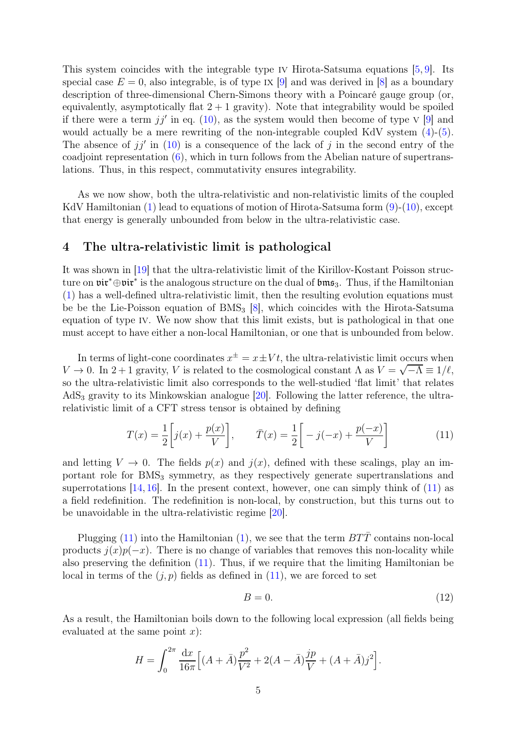This system coincides with the integrable type IV Hirota-Satsuma equations  $[5, 9]$  $[5, 9]$ . Its special case  $E = 0$ , also integrable, is of type IX [\[9\]](#page-7-7) and was derived in [\[8\]](#page-7-6) as a boundary description of three-dimensional Chern-Simons theory with a Poincaré gauge group (or, equivalently, asymptotically flat  $2 + 1$  gravity). Note that integrability would be spoiled if there were a term  $jj'$  in eq. [\(10\)](#page-3-3), as the system would then become of type  $V$  [\[9\]](#page-7-7) and would actually be a mere rewriting of the non-integrable coupled KdV system  $(4)-(5)$  $(4)-(5)$ . The absence of  $jj'$  in [\(10\)](#page-3-3) is a consequence of the lack of j in the second entry of the coadjoint representation [\(6\)](#page-3-2), which in turn follows from the Abelian nature of supertranslations. Thus, in this respect, commutativity ensures integrability.

As we now show, both the ultra-relativistic and non-relativistic limits of the coupled KdV Hamiltonian [\(1\)](#page-2-2) lead to equations of motion of Hirota-Satsuma form [\(9\)](#page-3-4)-[\(10\)](#page-3-3), except that energy is generally unbounded from below in the ultra-relativistic case.

### <span id="page-4-0"></span>4 The ultra-relativistic limit is pathological

It was shown in [\[19\]](#page-8-7) that the ultra-relativistic limit of the Kirillov-Kostant Poisson structure on  $\mathfrak{vir}^* \oplus \mathfrak{vir}^*$  is the analogous structure on the dual of  $\mathfrak{bms}_3$ . Thus, if the Hamiltonian [\(1\)](#page-2-2) has a well-defined ultra-relativistic limit, then the resulting evolution equations must be be the Lie-Poisson equation of  $BMS<sub>3</sub>$  [\[8\]](#page-7-6), which coincides with the Hirota-Satsuma equation of type iv. We now show that this limit exists, but is pathological in that one must accept to have either a non-local Hamiltonian, or one that is unbounded from below.

In terms of light-cone coordinates  $x^{\pm} = x \pm Vt$ , the ultra-relativistic limit occurs when V  $\rightarrow$  0. In 2 + 1 gravity, V is related to the cosmological constant  $\Lambda$  as  $V = \sqrt{-\Lambda} \equiv 1/\ell$ , so the ultra-relativistic limit also corresponds to the well-studied 'flat limit' that relates  $AdS<sub>3</sub>$  gravity to its Minkowskian analogue [\[20\]](#page-8-8). Following the latter reference, the ultrarelativistic limit of a CFT stress tensor is obtained by defining

<span id="page-4-1"></span>
$$
T(x) = \frac{1}{2} \left[ j(x) + \frac{p(x)}{V} \right], \qquad \bar{T}(x) = \frac{1}{2} \left[ -j(-x) + \frac{p(-x)}{V} \right] \tag{11}
$$

and letting  $V \to 0$ . The fields  $p(x)$  and  $j(x)$ , defined with these scalings, play an important role for BMS<sub>3</sub> symmetry, as they respectively generate supertranslations and superrotations  $[14, 16]$  $[14, 16]$ . In the present context, however, one can simply think of  $(11)$  as a field redefinition. The redefinition is non-local, by construction, but this turns out to be unavoidable in the ultra-relativistic regime [\[20\]](#page-8-8).

Plugging [\(11\)](#page-4-1) into the Hamiltonian [\(1\)](#page-2-2), we see that the term  $BT\bar{T}$  contains non-local products  $j(x)p(-x)$ . There is no change of variables that removes this non-locality while also preserving the definition  $(11)$ . Thus, if we require that the limiting Hamiltonian be local in terms of the  $(j, p)$  fields as defined in  $(11)$ , we are forced to set

<span id="page-4-2"></span>
$$
B = 0.\t(12)
$$

As a result, the Hamiltonian boils down to the following local expression (all fields being evaluated at the same point  $x$ :

$$
H = \int_0^{2\pi} \frac{\mathrm{d}x}{16\pi} \Big[ (A + \bar{A}) \frac{p^2}{V^2} + 2(A - \bar{A}) \frac{jp}{V} + (A + \bar{A}) j^2 \Big].
$$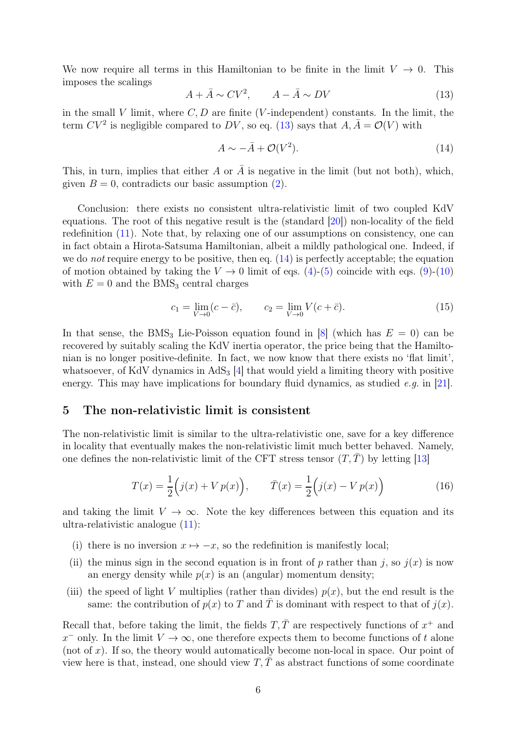We now require all terms in this Hamiltonian to be finite in the limit  $V \to 0$ . This imposes the scalings

<span id="page-5-1"></span>
$$
A + \bar{A} \sim CV^2, \qquad A - \bar{A} \sim DV \tag{13}
$$

in the small V limit, where  $C, D$  are finite (V-independent) constants. In the limit, the term  $CV^2$  is negligible compared to  $DV$ , so eq. [\(13\)](#page-5-1) says that  $A, \overline{A} = \mathcal{O}(V)$  with

<span id="page-5-2"></span>
$$
A \sim -\bar{A} + \mathcal{O}(V^2). \tag{14}
$$

This, in turn, implies that either A or  $\bar{A}$  is negative in the limit (but not both), which, given  $B = 0$ , contradicts our basic assumption [\(2\)](#page-2-6).

Conclusion: there exists no consistent ultra-relativistic limit of two coupled KdV equations. The root of this negative result is the (standard [\[20\]](#page-8-8)) non-locality of the field redefinition [\(11\)](#page-4-1). Note that, by relaxing one of our assumptions on consistency, one can in fact obtain a Hirota-Satsuma Hamiltonian, albeit a mildly pathological one. Indeed, if we do *not* require energy to be positive, then eq.  $(14)$  is perfectly acceptable; the equation of motion obtained by taking the  $V \rightarrow 0$  limit of eqs. [\(4\)](#page-2-4)-[\(5\)](#page-2-5) coincide with eqs. [\(9\)](#page-3-4)-[\(10\)](#page-3-3) with  $E = 0$  and the BMS<sub>3</sub> central charges

<span id="page-5-4"></span>
$$
c_1 = \lim_{V \to 0} (c - \bar{c}), \qquad c_2 = \lim_{V \to 0} V(c + \bar{c}). \tag{15}
$$

In that sense, the BMS<sub>3</sub> Lie-Poisson equation found in [\[8\]](#page-7-6) (which has  $E = 0$ ) can be recovered by suitably scaling the KdV inertia operator, the price being that the Hamiltonian is no longer positive-definite. In fact, we now know that there exists no 'flat limit', whatsoever, of KdV dynamics in  $AdS_3$  [\[4\]](#page-7-3) that would yield a limiting theory with positive energy. This may have implications for boundary fluid dynamics, as studied  $e.g.$  in [\[21\]](#page-8-9).

#### <span id="page-5-0"></span>5 The non-relativistic limit is consistent

The non-relativistic limit is similar to the ultra-relativistic one, save for a key difference in locality that eventually makes the non-relativistic limit much better behaved. Namely, one defines the non-relativistic limit of the CFT stress tensor  $(T, T)$  by letting [\[13\]](#page-8-1)

<span id="page-5-3"></span>
$$
T(x) = \frac{1}{2} (j(x) + V p(x)), \qquad \bar{T}(x) = \frac{1}{2} (j(x) - V p(x))
$$
 (16)

and taking the limit  $V \to \infty$ . Note the key differences between this equation and its ultra-relativistic analogue [\(11\)](#page-4-1):

- (i) there is no inversion  $x \mapsto -x$ , so the redefinition is manifestly local;
- (ii) the minus sign in the second equation is in front of p rather than j, so  $j(x)$  is now an energy density while  $p(x)$  is an (angular) momentum density;
- (iii) the speed of light V multiplies (rather than divides)  $p(x)$ , but the end result is the same: the contribution of  $p(x)$  to T and  $\overline{T}$  is dominant with respect to that of  $j(x)$ .

Recall that, before taking the limit, the fields  $T, \overline{T}$  are respectively functions of  $x^+$  and  $x^{-}$  only. In the limit  $V \to \infty$ , one therefore expects them to become functions of t alone (not of x). If so, the theory would automatically become non-local in space. Our point of view here is that, instead, one should view  $T, \overline{T}$  as abstract functions of some coordinate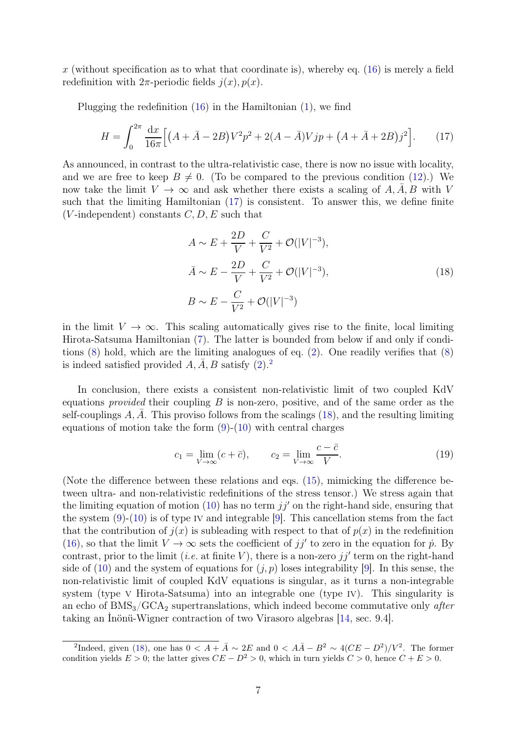x (without specification as to what that coordinate is), whereby eq.  $(16)$  is merely a field redefinition with  $2\pi$ -periodic fields  $j(x)$ ,  $p(x)$ .

Plugging the redefinition  $(16)$  in the Hamiltonian  $(1)$ , we find

<span id="page-6-0"></span>
$$
H = \int_0^{2\pi} \frac{\mathrm{d}x}{16\pi} \Big[ \left( A + \bar{A} - 2B \right) V^2 p^2 + 2(A - \bar{A}) V j p + \left( A + \bar{A} + 2B \right) j^2 \Big]. \tag{17}
$$

As announced, in contrast to the ultra-relativistic case, there is now no issue with locality, and we are free to keep  $B \neq 0$ . (To be compared to the previous condition [\(12\)](#page-4-2).) We now take the limit  $V \to \infty$  and ask whether there exists a scaling of A, A, B with V such that the limiting Hamiltonian [\(17\)](#page-6-0) is consistent. To answer this, we define finite (*V*-independent) constants  $C, D, E$  such that

<span id="page-6-2"></span>
$$
A \sim E + \frac{2D}{V} + \frac{C}{V^2} + \mathcal{O}(|V|^{-3}),
$$
  
\n
$$
\bar{A} \sim E - \frac{2D}{V} + \frac{C}{V^2} + \mathcal{O}(|V|^{-3}),
$$
  
\n
$$
B \sim E - \frac{C}{V^2} + \mathcal{O}(|V|^{-3})
$$
\n(18)

in the limit  $V \to \infty$ . This scaling automatically gives rise to the finite, local limiting Hirota-Satsuma Hamiltonian [\(7\)](#page-3-1). The latter is bounded from below if and only if conditions  $(8)$  hold, which are the limiting analogues of eq.  $(2)$ . One readily verifies that  $(8)$ is indeed satisfied provided  $A, A, B$  satisfy  $(2).<sup>2</sup>$  $(2).<sup>2</sup>$  $(2).<sup>2</sup>$  $(2).<sup>2</sup>$ 

In conclusion, there exists a consistent non-relativistic limit of two coupled KdV equations *provided* their coupling  $B$  is non-zero, positive, and of the same order as the self-couplings  $A, A$ . This proviso follows from the scalings [\(18\)](#page-6-2), and the resulting limiting equations of motion take the form  $(9)-(10)$  $(9)-(10)$  with central charges

$$
c_1 = \lim_{V \to \infty} (c + \bar{c}), \qquad c_2 = \lim_{V \to \infty} \frac{c - \bar{c}}{V}.
$$
 (19)

(Note the difference between these relations and eqs. [\(15\)](#page-5-4), mimicking the difference between ultra- and non-relativistic redefinitions of the stress tensor.) We stress again that the limiting equation of motion  $(10)$  has no term  $jj'$  on the right-hand side, ensuring that the system  $(9)-(10)$  $(9)-(10)$  $(9)-(10)$  is of type IV and integrable [\[9\]](#page-7-7). This cancellation stems from the fact that the contribution of  $j(x)$  is subleading with respect to that of  $p(x)$  in the redefinition [\(16\)](#page-5-3), so that the limit  $V \to \infty$  sets the coefficient of jj' to zero in the equation for p. By contrast, prior to the limit (*i.e.* at finite V), there is a non-zero  $jj'$  term on the right-hand side of [\(10\)](#page-3-3) and the system of equations for  $(j, p)$  loses integrability [\[9\]](#page-7-7). In this sense, the non-relativistic limit of coupled KdV equations is singular, as it turns a non-integrable system (type v Hirota-Satsuma) into an integrable one (type IV). This singularity is an echo of  $BMS<sub>3</sub>/GCA<sub>2</sub>$  supertranslations, which indeed become commutative only *after* taking an İnönü-Wigner contraction of two Virasoro algebras [\[14,](#page-8-2) sec. 9.4].

<span id="page-6-1"></span><sup>&</sup>lt;sup>2</sup>Indeed, given [\(18\)](#page-6-2), one has  $0 < A + \overline{A} \sim 2E$  and  $0 < A\overline{A} - B^2 \sim 4(CE - D^2)/V^2$ . The former condition yields  $E > 0$ ; the latter gives  $CE - D^2 > 0$ , which in turn yields  $C > 0$ , hence  $C + E > 0$ .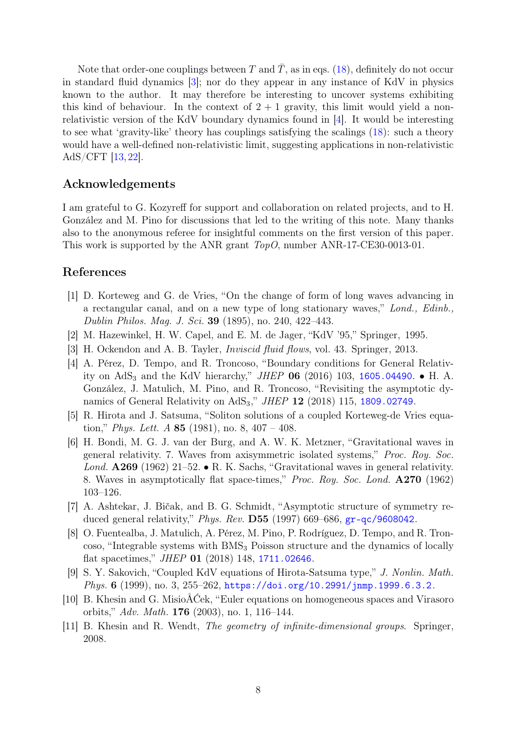Note that order-one couplings between T and  $\overline{T}$ , as in eqs. [\(18\)](#page-6-2), definitely do not occur in standard fluid dynamics [\[3\]](#page-7-2); nor do they appear in any instance of KdV in physics known to the author. It may therefore be interesting to uncover systems exhibiting this kind of behaviour. In the context of  $2 + 1$  gravity, this limit would yield a nonrelativistic version of the KdV boundary dynamics found in [\[4\]](#page-7-3). It would be interesting to see what 'gravity-like' theory has couplings satisfying the scalings [\(18\)](#page-6-2): such a theory would have a well-defined non-relativistic limit, suggesting applications in non-relativistic AdS/CFT [\[13,](#page-8-1) [22\]](#page-8-10).

## Acknowledgements

I am grateful to G. Kozyreff for support and collaboration on related projects, and to H. González and M. Pino for discussions that led to the writing of this note. Many thanks also to the anonymous referee for insightful comments on the first version of this paper. This work is supported by the ANR grant TopO, number ANR-17-CE30-0013-01.

### <span id="page-7-0"></span>References

- [1] D. Korteweg and G. de Vries, "On the change of form of long waves advancing in a rectangular canal, and on a new type of long stationary waves," Lond., Edinb., Dublin Philos. Mag. J. Sci. 39 (1895), no. 240, 422–443.
- <span id="page-7-2"></span><span id="page-7-1"></span>[2] M. Hazewinkel, H. W. Capel, and E. M. de Jager, "KdV '95," Springer, 1995.
- <span id="page-7-3"></span>[3] H. Ockendon and A. B. Tayler, Inviscid fluid flows, vol. 43. Springer, 2013.
- [4] A. Pérez, D. Tempo, and R. Troncoso, "Boundary conditions for General Relativity on  $AdS_3$  and the KdV hierarchy," *JHEP* 06 (2016) 103, [1605.04490](http://www.arXiv.org/abs/1605.04490). • H. A. González, J. Matulich, M. Pino, and R. Troncoso, "Revisiting the asymptotic dynamics of General Relativity on  $AdS_3$ ," JHEP 12 (2018) 115, [1809.02749](http://www.arXiv.org/abs/1809.02749).
- <span id="page-7-4"></span>[5] R. Hirota and J. Satsuma, "Soliton solutions of a coupled Korteweg-de Vries equation," *Phys. Lett. A* 85 (1981), no. 8,  $407 - 408$ .
- <span id="page-7-5"></span>[6] H. Bondi, M. G. J. van der Burg, and A. W. K. Metzner, "Gravitational waves in general relativity. 7. Waves from axisymmetric isolated systems," Proc. Roy. Soc. Lond. A269 (1962) 21–52. • R. K. Sachs, "Gravitational waves in general relativity. 8. Waves in asymptotically flat space-times," Proc. Roy. Soc. Lond. A270 (1962) 103–126.
- <span id="page-7-10"></span>[7] A. Ashtekar, J. Bičak, and B. G. Schmidt, "Asymptotic structure of symmetry reduced general relativity," Phys. Rev. D55 (1997) 669–686, [gr-qc/9608042](http://www.arXiv.org/abs/gr-qc/9608042).
- <span id="page-7-6"></span>[8] O. Fuentealba, J. Matulich, A. Pérez, M. Pino, P. Rodríguez, D. Tempo, and R. Tron- $\cos$ , "Integrable systems with BMS<sub>3</sub> Poisson structure and the dynamics of locally flat spacetimes," JHEP 01 (2018) 148, [1711.02646](http://www.arXiv.org/abs/1711.02646).
- <span id="page-7-7"></span>[9] S. Y. Sakovich, "Coupled KdV equations of Hirota-Satsuma type," J. Nonlin. Math. Phys. 6 (1999), no. 3, 255–262, [https://doi.org/10.2991/jnmp.1999.6.3.2](http://www.arXiv.org/abs/https://doi.org/10.2991/jnmp.1999.6.3.2).
- <span id="page-7-8"></span>[10] B. Khesin and G. MisioÅĆek, "Euler equations on homogeneous spaces and Virasoro orbits," Adv. Math. 176 (2003), no. 1, 116–144.
- <span id="page-7-9"></span>[11] B. Khesin and R. Wendt, The geometry of infinite-dimensional groups. Springer, 2008.